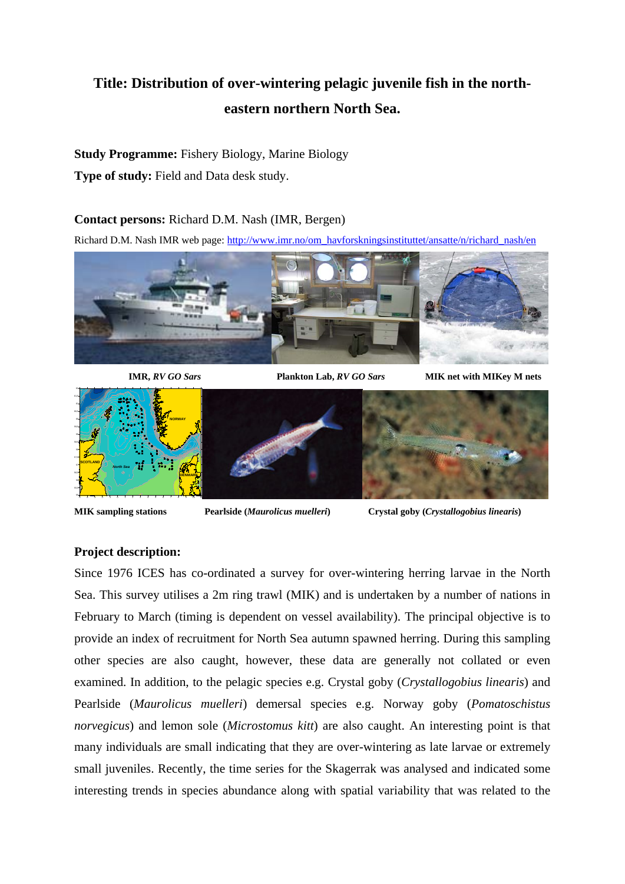# **Title: Distribution of over-wintering pelagic juvenile fish in the northeastern northern North Sea.**

## **Study Programme:** Fishery Biology, Marine Biology

**Type of study:** Field and Data desk study.

### **Contact persons:** Richard D.M. Nash (IMR, Bergen)

Richard D.M. Nash IMR web page: http://www.imr.no/om\_havforskningsinstituttet/ansatte/n/richard\_nash/en



 **IMR,** *RV GO Sars* **Plankton Lab,** *RV GO Sars* **MIK net with MIKey M nets** 



**MIK sampling stations Pearlside (***Maurolicus muelleri***) Crystal goby (***Crystallogobius linearis***)**

# **Project description:**

Since 1976 ICES has co-ordinated a survey for over-wintering herring larvae in the North Sea. This survey utilises a 2m ring trawl (MIK) and is undertaken by a number of nations in February to March (timing is dependent on vessel availability). The principal objective is to provide an index of recruitment for North Sea autumn spawned herring. During this sampling other species are also caught, however, these data are generally not collated or even examined. In addition, to the pelagic species e.g. Crystal goby (*Crystallogobius linearis*) and Pearlside (*Maurolicus muelleri*) demersal species e.g. Norway goby (*Pomatoschistus norvegicus*) and lemon sole (*Microstomus kitt*) are also caught. An interesting point is that many individuals are small indicating that they are over-wintering as late larvae or extremely small juveniles. Recently, the time series for the Skagerrak was analysed and indicated some interesting trends in species abundance along with spatial variability that was related to the